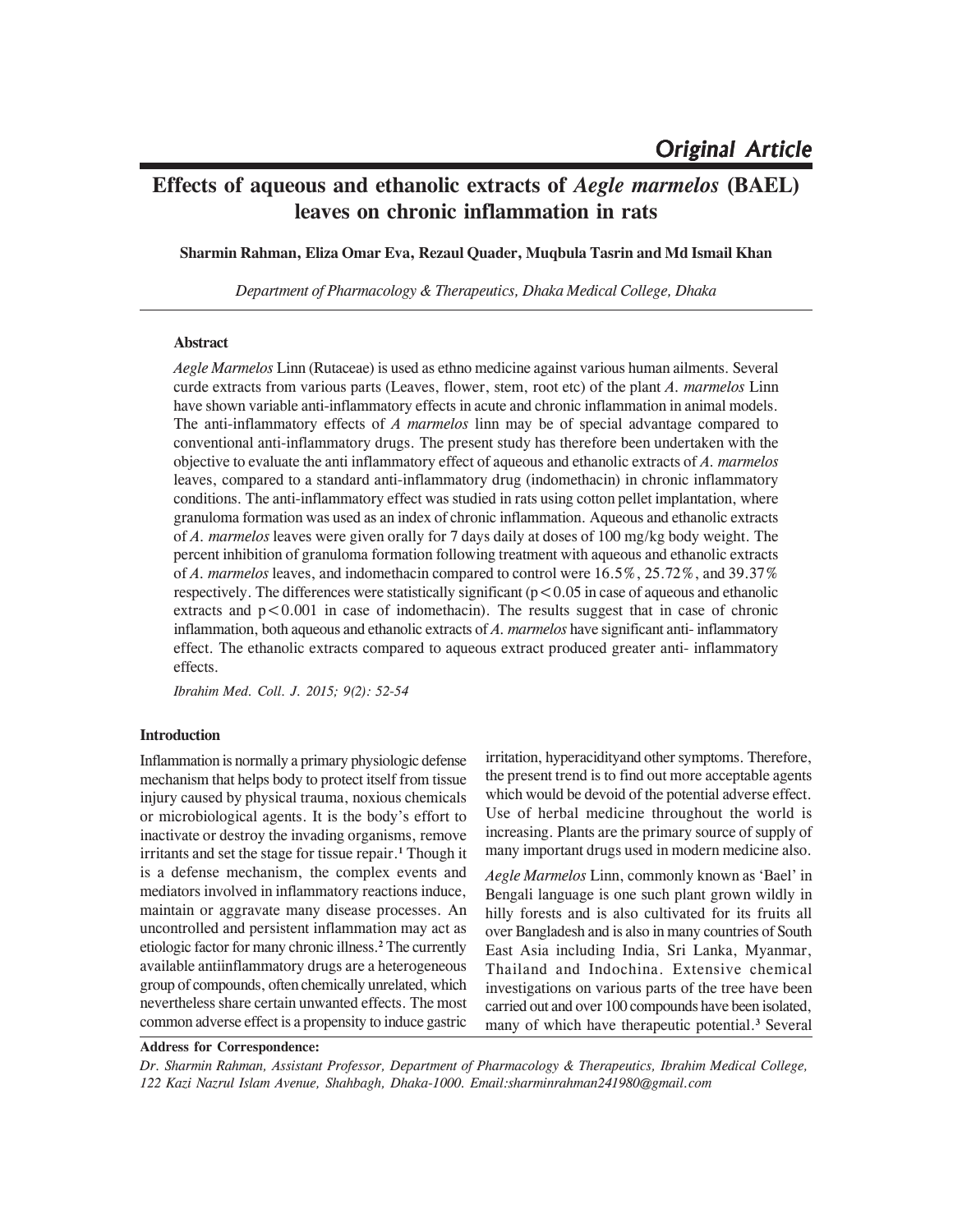# **Effects of aqueous and ethanolic extracts of** *Aegle marmelos* **(BAEL) leaves on chronic inflammation in rats**

**Sharmin Rahman, Eliza Omar Eva, Rezaul Quader, Muqbula Tasrin and Md Ismail Khan**

*Department of Pharmacology & Therapeutics, Dhaka Medical College, Dhaka*

## **Abstract**

*Aegle Marmelos* Linn (Rutaceae) is used as ethno medicine against various human ailments. Several curde extracts from various parts (Leaves, flower, stem, root etc) of the plant *A. marmelos* Linn have shown variable anti-inflammatory effects in acute and chronic inflammation in animal models. The anti-inflammatory effects of *A marmelos* linn may be of special advantage compared to conventional anti-inflammatory drugs. The present study has therefore been undertaken with the objective to evaluate the anti inflammatory effect of aqueous and ethanolic extracts of *A. marmelos* leaves, compared to a standard anti-inflammatory drug (indomethacin) in chronic inflammatory conditions. The anti-inflammatory effect was studied in rats using cotton pellet implantation, where granuloma formation was used as an index of chronic inflammation. Aqueous and ethanolic extracts of *A. marmelos* leaves were given orally for 7 days daily at doses of 100 mg/kg body weight. The percent inhibition of granuloma formation following treatment with aqueous and ethanolic extracts of *A. marmelos* leaves, and indomethacin compared to control were 16.5%, 25.72%, and 39.37% respectively. The differences were statistically significant ( $p < 0.05$  in case of aqueous and ethanolic extracts and  $p < 0.001$  in case of indomethacin). The results suggest that in case of chronic inflammation, both aqueous and ethanolic extracts of *A. marmelos* have significant anti- inflammatory effect. The ethanolic extracts compared to aqueous extract produced greater anti- inflammatory effects.

*Ibrahim Med. Coll. J. 2015; 9(2): 52-54*

## **Introduction**

Inflammation is normally a primary physiologic defense mechanism that helps body to protect itself from tissue injury caused by physical trauma, noxious chemicals or microbiological agents. It is the body's effort to inactivate or destroy the invading organisms, remove irritants and set the stage for tissue repair.**<sup>1</sup>** Though it is a defense mechanism, the complex events and mediators involved in inflammatory reactions induce, maintain or aggravate many disease processes. An uncontrolled and persistent inflammation may act as etiologic factor for many chronic illness.**<sup>2</sup>** The currently available antiinflammatory drugs are a heterogeneous group of compounds, often chemically unrelated, which nevertheless share certain unwanted effects. The most common adverse effect is a propensity to induce gastric

irritation, hyperacidityand other symptoms. Therefore, the present trend is to find out more acceptable agents which would be devoid of the potential adverse effect. Use of herbal medicine throughout the world is increasing. Plants are the primary source of supply of many important drugs used in modern medicine also.

*Aegle Marmelos* Linn, commonly known as 'Bael' in Bengali language is one such plant grown wildly in hilly forests and is also cultivated for its fruits all over Bangladesh and is also in many countries of South East Asia including India, Sri Lanka, Myanmar, Thailand and Indochina. Extensive chemical investigations on various parts of the tree have been carried out and over 100 compounds have been isolated, many of which have therapeutic potential.**<sup>3</sup>** Several

**Address for Correspondence:**

*Dr. Sharmin Rahman, Assistant Professor, Department of Pharmacology & Therapeutics, Ibrahim Medical College, 122 Kazi Nazrul Islam Avenue, Shahbagh, Dhaka-1000. Email:sharminrahman241980@gmail.com*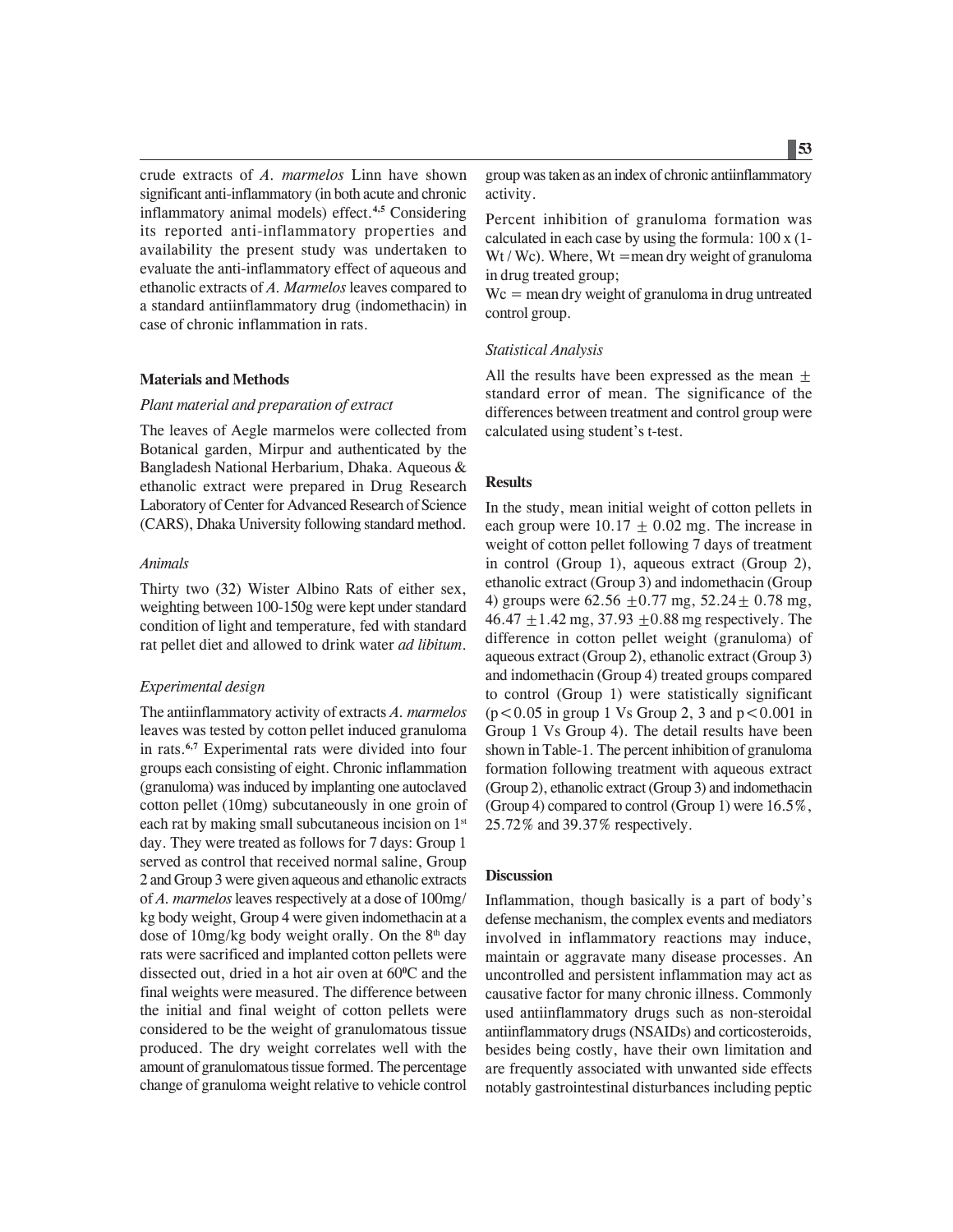crude extracts of *A. marmelos* Linn have shown significant anti-inflammatory (in both acute and chronic inflammatory animal models) effect.**4,5** Considering its reported anti-inflammatory properties and availability the present study was undertaken to evaluate the anti-inflammatory effect of aqueous and ethanolic extracts of *A. Marmelos* leaves compared to a standard antiinflammatory drug (indomethacin) in case of chronic inflammation in rats.

#### **Materials and Methods**

#### *Plant material and preparation of extract*

The leaves of Aegle marmelos were collected from Botanical garden, Mirpur and authenticated by the Bangladesh National Herbarium, Dhaka. Aqueous & ethanolic extract were prepared in Drug Research Laboratory of Center for Advanced Research of Science (CARS), Dhaka University following standard method.

#### *Animals*

Thirty two (32) Wister Albino Rats of either sex, weighting between 100-150g were kept under standard condition of light and temperature, fed with standard rat pellet diet and allowed to drink water *ad libitum*.

#### *Experimental design*

The antiinflammatory activity of extracts *A. marmelos* leaves was tested by cotton pellet induced granuloma in rats.**6,7** Experimental rats were divided into four groups each consisting of eight. Chronic inflammation (granuloma) was induced by implanting one autoclaved cotton pellet (10mg) subcutaneously in one groin of each rat by making small subcutaneous incision on 1<sup>st</sup> day. They were treated as follows for 7 days: Group 1 served as control that received normal saline, Group 2 and Group 3 were given aqueous and ethanolic extracts of *A. marmelos* leaves respectively at a dose of 100mg/ kg body weight, Group 4 were given indomethacin at a dose of 10mg/kg body weight orally. On the  $8<sup>th</sup>$  day rats were sacrificed and implanted cotton pellets were dissected out, dried in a hot air oven at 60**<sup>0</sup>** C and the final weights were measured. The difference between the initial and final weight of cotton pellets were considered to be the weight of granulomatous tissue produced. The dry weight correlates well with the amount of granulomatous tissue formed. The percentage change of granuloma weight relative to vehicle control group was taken as an index of chronic antiinflammatory activity.

Percent inhibition of granuloma formation was calculated in each case by using the formula: 100 x (1- Wt / Wc). Where,  $Wt =$  mean dry weight of granuloma in drug treated group;

 $Wc$  = mean dry weight of granuloma in drug untreated control group.

### *Statistical Analysis*

All the results have been expressed as the mean  $\pm$ standard error of mean. The significance of the differences between treatment and control group were calculated using student's t-test.

#### **Results**

In the study, mean initial weight of cotton pellets in each group were  $10.17 \pm 0.02$  mg. The increase in weight of cotton pellet following 7 days of treatment in control (Group 1), aqueous extract (Group 2), ethanolic extract (Group 3) and indomethacin (Group 4) groups were  $62.56 \pm 0.77$  mg,  $52.24 \pm 0.78$  mg,  $46.47 + 1.42$  mg,  $37.93 + 0.88$  mg respectively. The difference in cotton pellet weight (granuloma) of aqueous extract (Group 2), ethanolic extract (Group 3) and indomethacin (Group 4) treated groups compared to control (Group 1) were statistically significant  $(p<0.05$  in group 1 Vs Group 2, 3 and  $p<0.001$  in Group 1 Vs Group 4). The detail results have been shown in Table-1. The percent inhibition of granuloma formation following treatment with aqueous extract (Group 2), ethanolic extract (Group 3) and indomethacin (Group 4) compared to control (Group 1) were 16.5%, 25.72% and 39.37% respectively.

#### **Discussion**

Inflammation, though basically is a part of body's defense mechanism, the complex events and mediators involved in inflammatory reactions may induce, maintain or aggravate many disease processes. An uncontrolled and persistent inflammation may act as causative factor for many chronic illness. Commonly used antiinflammatory drugs such as non-steroidal antiinflammatory drugs (NSAIDs) and corticosteroids, besides being costly, have their own limitation and are frequently associated with unwanted side effects notably gastrointestinal disturbances including peptic